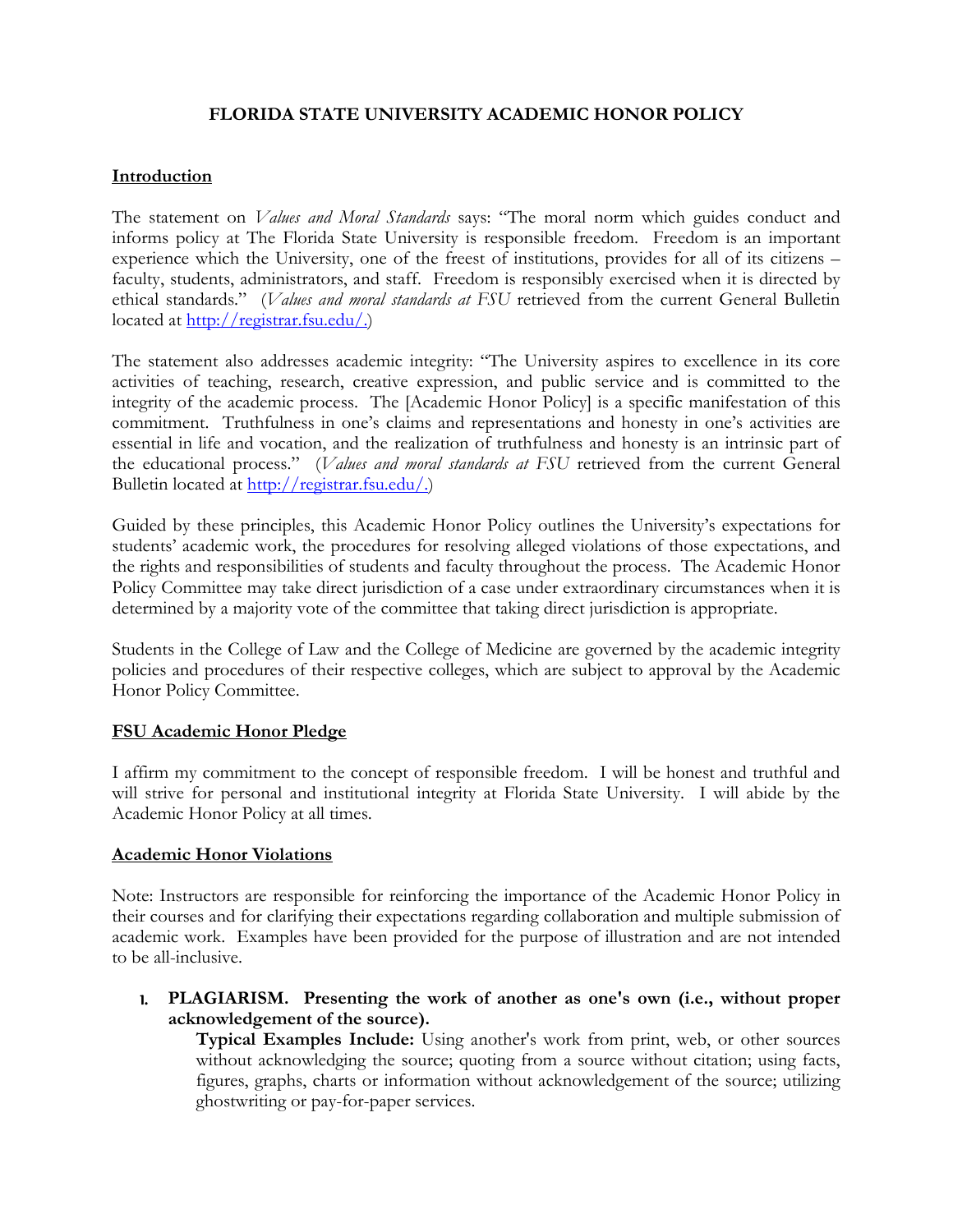## **FLORIDA STATE UNIVERSITY ACADEMIC HONOR POLICY**

### **Introduction**

The statement on *Values and Moral Standards* says: "The moral norm which guides conduct and informs policy at The Florida State University is responsible freedom. Freedom is an important experience which the University, one of the freest of institutions, provides for all of its citizens – faculty, students, administrators, and staff. Freedom is responsibly exercised when it is directed by ethical standards." (*Values and moral standards at FSU* retrieved from the current General Bulletin located at [http://registrar.fsu.edu/.](http://registrar.fsu.edu/))

The statement also addresses academic integrity: "The University aspires to excellence in its core activities of teaching, research, creative expression, and public service and is committed to the integrity of the academic process. The [Academic Honor Policy] is a specific manifestation of this commitment. Truthfulness in one's claims and representations and honesty in one's activities are essential in life and vocation, and the realization of truthfulness and honesty is an intrinsic part of the educational process." (*Values and moral standards at FSU* retrieved from the current General Bulletin located at [http://registrar.fsu.edu/.](http://registrar.fsu.edu/))

Guided by these principles, this Academic Honor Policy outlines the University's expectations for students' academic work, the procedures for resolving alleged violations of those expectations, and the rights and responsibilities of students and faculty throughout the process. The Academic Honor Policy Committee may take direct jurisdiction of a case under extraordinary circumstances when it is determined by a majority vote of the committee that taking direct jurisdiction is appropriate.

Students in the College of Law and the College of Medicine are governed by the academic integrity policies and procedures of their respective colleges, which are subject to approval by the Academic Honor Policy Committee.

#### **FSU Academic Honor Pledge**

I affirm my commitment to the concept of responsible freedom. I will be honest and truthful and will strive for personal and institutional integrity at Florida State University. I will abide by the Academic Honor Policy at all times.

#### **Academic Honor Violations**

Note: Instructors are responsible for reinforcing the importance of the Academic Honor Policy in their courses and for clarifying their expectations regarding collaboration and multiple submission of academic work. Examples have been provided for the purpose of illustration and are not intended to be all-inclusive.

1. **PLAGIARISM. Presenting the work of another as one's own (i.e., without proper acknowledgement of the source).** 

**Typical Examples Include:** Using another's work from print, web, or other sources without acknowledging the source; quoting from a source without citation; using facts, figures, graphs, charts or information without acknowledgement of the source; utilizing ghostwriting or pay-for-paper services.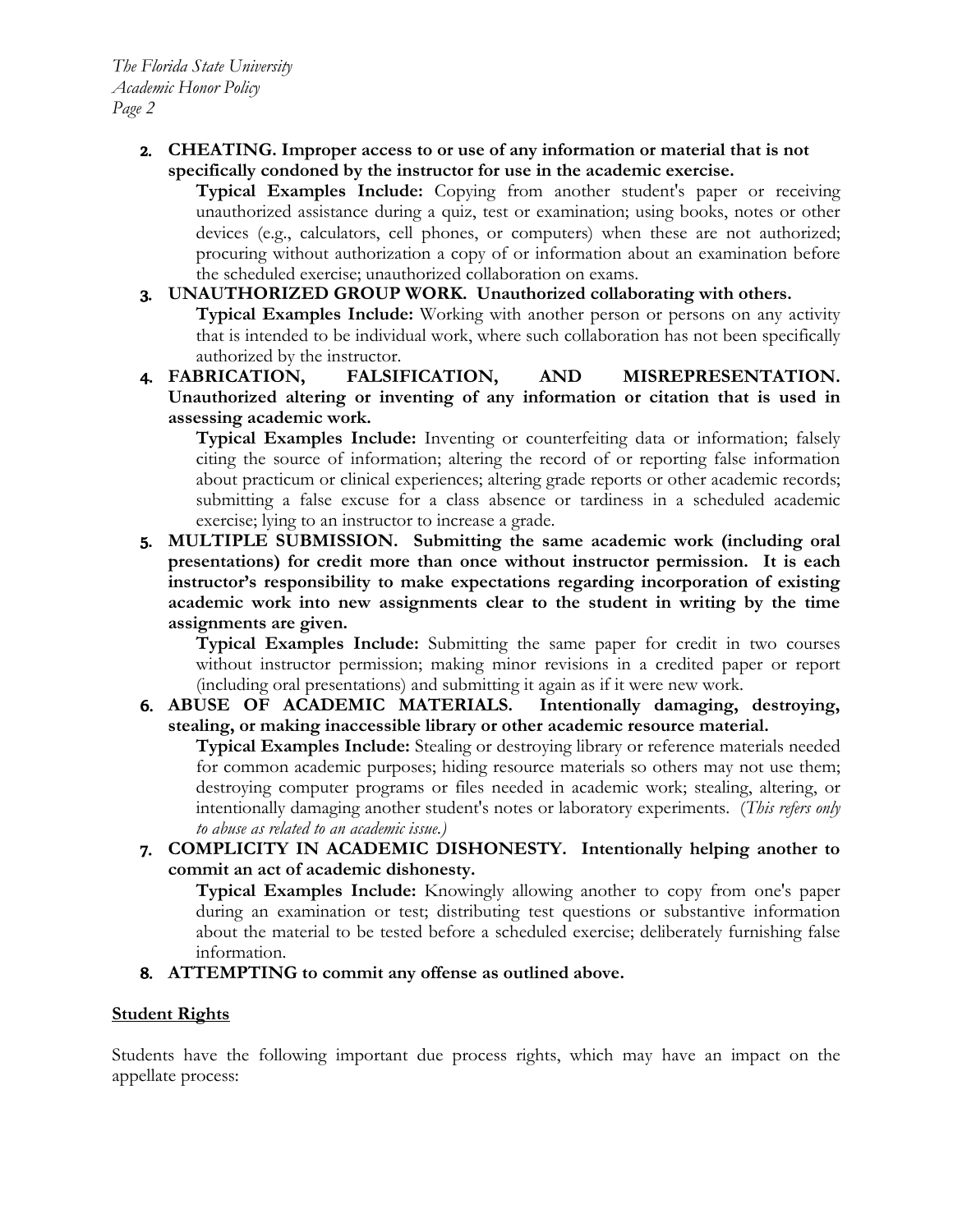2. **CHEATING. Improper access to or use of any information or material that is not specifically condoned by the instructor for use in the academic exercise.** 

**Typical Examples Include:** Copying from another student's paper or receiving unauthorized assistance during a quiz, test or examination; using books, notes or other devices (e.g., calculators, cell phones, or computers) when these are not authorized; procuring without authorization a copy of or information about an examination before the scheduled exercise; unauthorized collaboration on exams.

## 3. **UNAUTHORIZED GROUP WORK. Unauthorized collaborating with others.**

**Typical Examples Include:** Working with another person or persons on any activity that is intended to be individual work, where such collaboration has not been specifically authorized by the instructor.

4. **FABRICATION, FALSIFICATION, AND MISREPRESENTATION. Unauthorized altering or inventing of any information or citation that is used in assessing academic work.** 

**Typical Examples Include:** Inventing or counterfeiting data or information; falsely citing the source of information; altering the record of or reporting false information about practicum or clinical experiences; altering grade reports or other academic records; submitting a false excuse for a class absence or tardiness in a scheduled academic exercise; lying to an instructor to increase a grade.

5. **MULTIPLE SUBMISSION. Submitting the same academic work (including oral presentations) for credit more than once without instructor permission. It is each instructor's responsibility to make expectations regarding incorporation of existing academic work into new assignments clear to the student in writing by the time assignments are given.**

**Typical Examples Include:** Submitting the same paper for credit in two courses without instructor permission; making minor revisions in a credited paper or report (including oral presentations) and submitting it again as if it were new work.

6. **ABUSE OF ACADEMIC MATERIALS. Intentionally damaging, destroying, stealing, or making inaccessible library or other academic resource material.** 

**Typical Examples Include:** Stealing or destroying library or reference materials needed for common academic purposes; hiding resource materials so others may not use them; destroying computer programs or files needed in academic work; stealing, altering, or intentionally damaging another student's notes or laboratory experiments. (*This refers only to abuse as related to an academic issue.)*

7. **COMPLICITY IN ACADEMIC DISHONESTY. Intentionally helping another to commit an act of academic dishonesty.** 

**Typical Examples Include:** Knowingly allowing another to copy from one's paper during an examination or test; distributing test questions or substantive information about the material to be tested before a scheduled exercise; deliberately furnishing false information.

8. **ATTEMPTING to commit any offense as outlined above.** 

### **Student Rights**

Students have the following important due process rights, which may have an impact on the appellate process: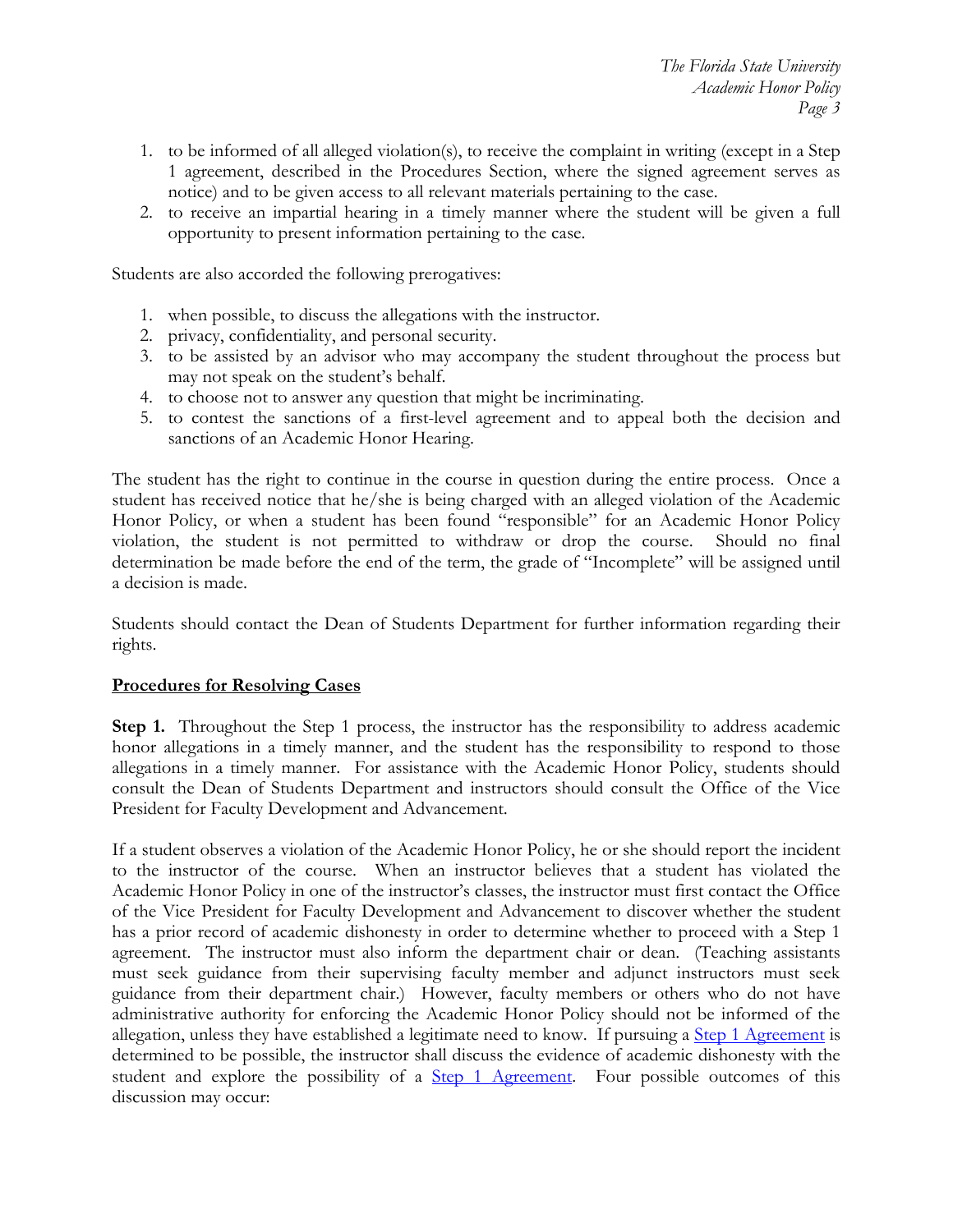- 1. to be informed of all alleged violation(s), to receive the complaint in writing (except in a Step 1 agreement, described in the Procedures Section, where the signed agreement serves as notice) and to be given access to all relevant materials pertaining to the case.
- 2. to receive an impartial hearing in a timely manner where the student will be given a full opportunity to present information pertaining to the case.

Students are also accorded the following prerogatives:

- 1. when possible, to discuss the allegations with the instructor.
- 2. privacy, confidentiality, and personal security.
- 3. to be assisted by an advisor who may accompany the student throughout the process but may not speak on the student's behalf.
- 4. to choose not to answer any question that might be incriminating.
- 5. to contest the sanctions of a first-level agreement and to appeal both the decision and sanctions of an Academic Honor Hearing.

The student has the right to continue in the course in question during the entire process. Once a student has received notice that he/she is being charged with an alleged violation of the Academic Honor Policy, or when a student has been found "responsible" for an Academic Honor Policy violation, the student is not permitted to withdraw or drop the course. Should no final determination be made before the end of the term, the grade of "Incomplete" will be assigned until a decision is made.

Students should contact the Dean of Students Department for further information regarding their rights.

### **Procedures for Resolving Cases**

**Step 1.** Throughout the Step 1 process, the instructor has the responsibility to address academic honor allegations in a timely manner, and the student has the responsibility to respond to those allegations in a timely manner. For assistance with the Academic Honor Policy, students should consult the Dean of Students Department and instructors should consult the Office of the Vice President for Faculty Development and Advancement.

If a student observes a violation of the Academic Honor Policy, he or she should report the incident to the instructor of the course. When an instructor believes that a student has violated the Academic Honor Policy in one of the instructor's classes, the instructor must first contact the Office of the Vice President for Faculty Development and Advancement to discover whether the student has a prior record of academic dishonesty in order to determine whether to proceed with a Step 1 agreement. The instructor must also inform the department chair or dean. (Teaching assistants must seek guidance from their supervising faculty member and adjunct instructors must seek guidance from their department chair.) However, faculty members or others who do not have administrative authority for enforcing the Academic Honor Policy should not be informed of the allegation, unless they have established a legitimate need to know. If pursuing a [Step 1 Agreement](http://fda.fsu.edu/content/download/21142/136635/AHPStep1PDFfillin12-13.pdf) is determined to be possible, the instructor shall discuss the evidence of academic dishonesty with the student and explore the possibility of a [Step 1 Agreement.](http://fda.fsu.edu/content/download/21142/136635/AHPStep1PDFfillin12-13.pdf) Four possible outcomes of this discussion may occur: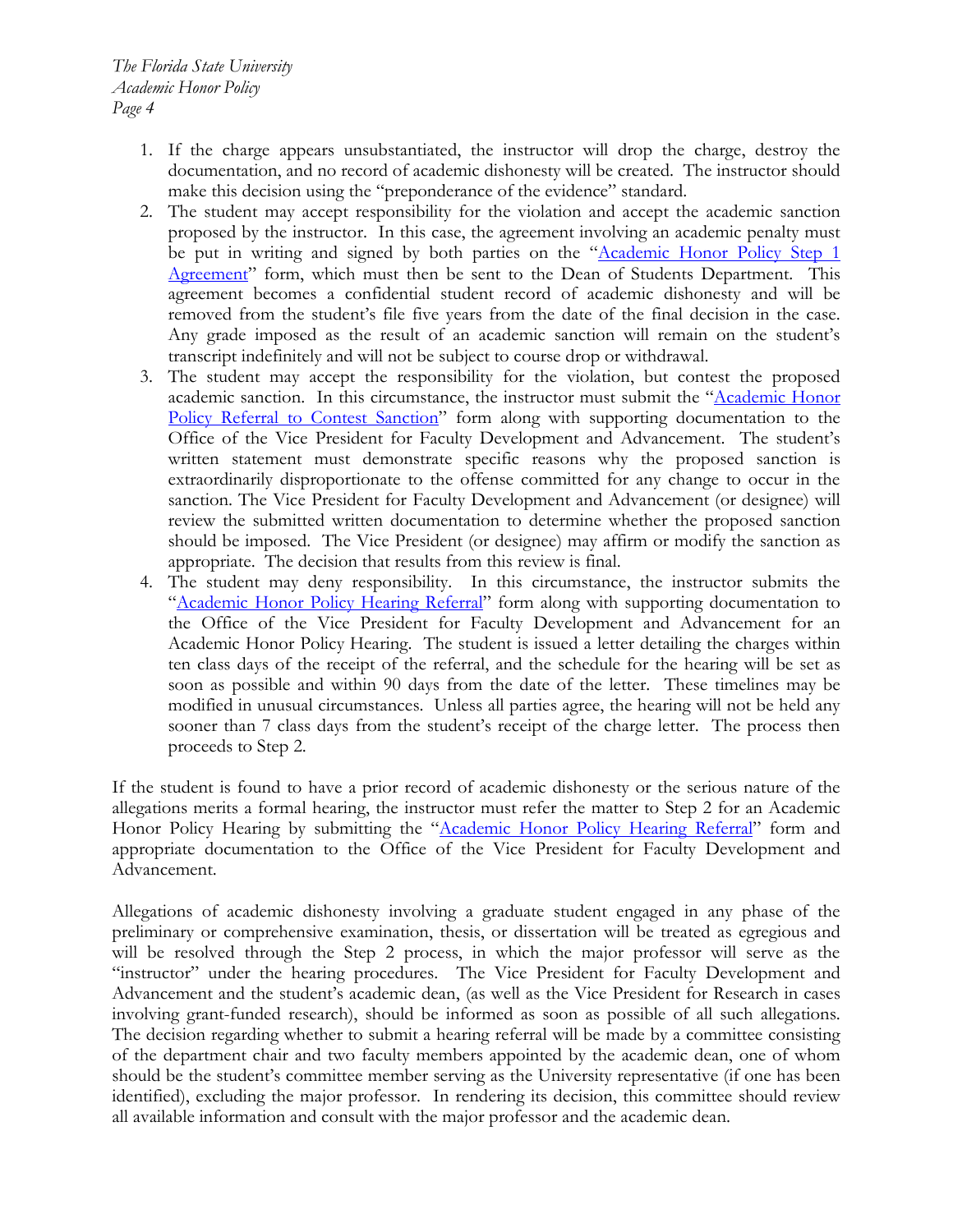- 1. If the charge appears unsubstantiated, the instructor will drop the charge, destroy the documentation, and no record of academic dishonesty will be created. The instructor should make this decision using the "preponderance of the evidence" standard.
- 2. The student may accept responsibility for the violation and accept the academic sanction proposed by the instructor. In this case, the agreement involving an academic penalty must be put in writing and signed by both parties on the "Academic Honor Policy Step 1 [Agreement"](http://fda.fsu.edu/content/download/21142/136635/AHPStep1PDFfillin12-13.pdf) form, which must then be sent to the Dean of Students Department. This agreement becomes a confidential student record of academic dishonesty and will be removed from the student's file five years from the date of the final decision in the case. Any grade imposed as the result of an academic sanction will remain on the student's transcript indefinitely and will not be subject to course drop or withdrawal.
- 3. The student may accept the responsibility for the violation, but contest the proposed academic sanction. In this circumstance, the instructor must submit the ["Academic Honor](http://fda.fsu.edu/content/download/21145/136644/AHPReftoSancPDFFillin.pdf) Policy Referral [to Contest Sanction"](http://fda.fsu.edu/content/download/21145/136644/AHPReftoSancPDFFillin.pdf) form along with supporting documentation to the Office of the Vice President for Faculty Development and Advancement. The student's written statement must demonstrate specific reasons why the proposed sanction is extraordinarily disproportionate to the offense committed for any change to occur in the sanction. The Vice President for Faculty Development and Advancement (or designee) will review the submitted written documentation to determine whether the proposed sanction should be imposed. The Vice President (or designee) may affirm or modify the sanction as appropriate. The decision that results from this review is final.
- 4. The student may deny responsibility. In this circumstance, the instructor submits the "Academic Honor [Policy Hearing Referral"](http://fda.fsu.edu/content/download/21149/136662/AHPHearRefPDFfillin.pdf) form along with supporting documentation to the Office of the Vice President for Faculty Development and Advancement for an Academic Honor Policy Hearing. The student is issued a letter detailing the charges within ten class days of the receipt of the referral, and the schedule for the hearing will be set as soon as possible and within 90 days from the date of the letter. These timelines may be modified in unusual circumstances. Unless all parties agree, the hearing will not be held any sooner than 7 class days from the student's receipt of the charge letter. The process then proceeds to Step 2.

If the student is found to have a prior record of academic dishonesty or the serious nature of the allegations merits a formal hearing, the instructor must refer the matter to Step 2 for an Academic Honor Policy Hearing by submitting the "Academic Honor [Policy Hearing Referral"](http://fda.fsu.edu/content/download/21149/136662/AHPHearRefPDFfillin.pdf) form and appropriate documentation to the Office of the Vice President for Faculty Development and Advancement.

Allegations of academic dishonesty involving a graduate student engaged in any phase of the preliminary or comprehensive examination, thesis, or dissertation will be treated as egregious and will be resolved through the Step 2 process, in which the major professor will serve as the "instructor" under the hearing procedures. The Vice President for Faculty Development and Advancement and the student's academic dean, (as well as the Vice President for Research in cases involving grant-funded research), should be informed as soon as possible of all such allegations. The decision regarding whether to submit a hearing referral will be made by a committee consisting of the department chair and two faculty members appointed by the academic dean, one of whom should be the student's committee member serving as the University representative (if one has been identified), excluding the major professor. In rendering its decision, this committee should review all available information and consult with the major professor and the academic dean.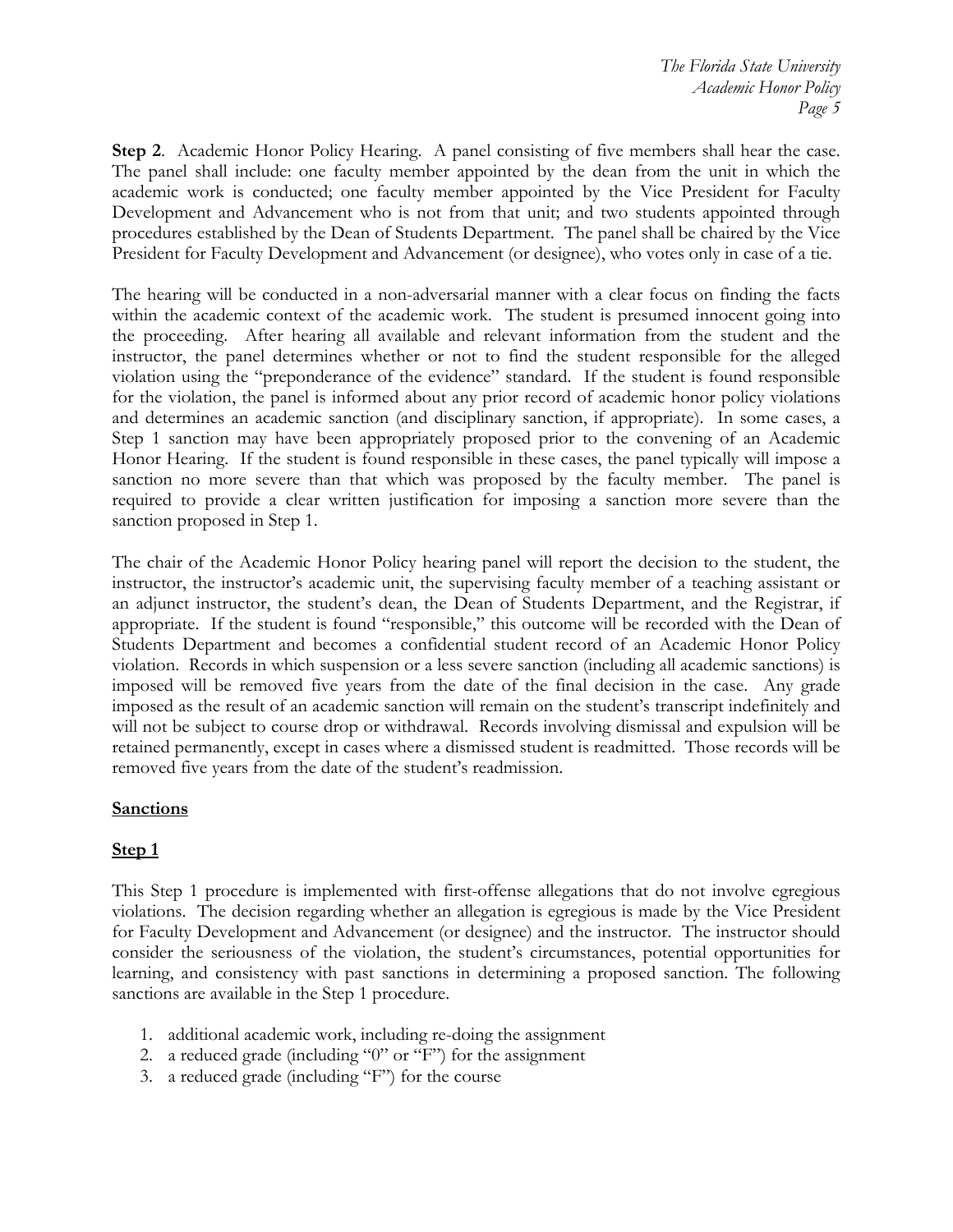**Step 2**. Academic Honor Policy Hearing. A panel consisting of five members shall hear the case. The panel shall include: one faculty member appointed by the dean from the unit in which the academic work is conducted; one faculty member appointed by the Vice President for Faculty Development and Advancement who is not from that unit; and two students appointed through procedures established by the Dean of Students Department. The panel shall be chaired by the Vice President for Faculty Development and Advancement (or designee), who votes only in case of a tie.

The hearing will be conducted in a non-adversarial manner with a clear focus on finding the facts within the academic context of the academic work. The student is presumed innocent going into the proceeding. After hearing all available and relevant information from the student and the instructor, the panel determines whether or not to find the student responsible for the alleged violation using the "preponderance of the evidence" standard. If the student is found responsible for the violation, the panel is informed about any prior record of academic honor policy violations and determines an academic sanction (and disciplinary sanction, if appropriate). In some cases, a Step 1 sanction may have been appropriately proposed prior to the convening of an Academic Honor Hearing. If the student is found responsible in these cases, the panel typically will impose a sanction no more severe than that which was proposed by the faculty member. The panel is required to provide a clear written justification for imposing a sanction more severe than the sanction proposed in Step 1.

The chair of the Academic Honor Policy hearing panel will report the decision to the student, the instructor, the instructor's academic unit, the supervising faculty member of a teaching assistant or an adjunct instructor, the student's dean, the Dean of Students Department, and the Registrar, if appropriate. If the student is found "responsible," this outcome will be recorded with the Dean of Students Department and becomes a confidential student record of an Academic Honor Policy violation. Records in which suspension or a less severe sanction (including all academic sanctions) is imposed will be removed five years from the date of the final decision in the case. Any grade imposed as the result of an academic sanction will remain on the student's transcript indefinitely and will not be subject to course drop or withdrawal. Records involving dismissal and expulsion will be retained permanently, except in cases where a dismissed student is readmitted. Those records will be removed five years from the date of the student's readmission.

### **Sanctions**

# **Step 1**

This Step 1 procedure is implemented with first-offense allegations that do not involve egregious violations. The decision regarding whether an allegation is egregious is made by the Vice President for Faculty Development and Advancement (or designee) and the instructor. The instructor should consider the seriousness of the violation, the student's circumstances, potential opportunities for learning, and consistency with past sanctions in determining a proposed sanction. The following sanctions are available in the Step 1 procedure.

- 1. additional academic work, including re-doing the assignment
- 2. a reduced grade (including "0" or "F") for the assignment
- 3. a reduced grade (including "F") for the course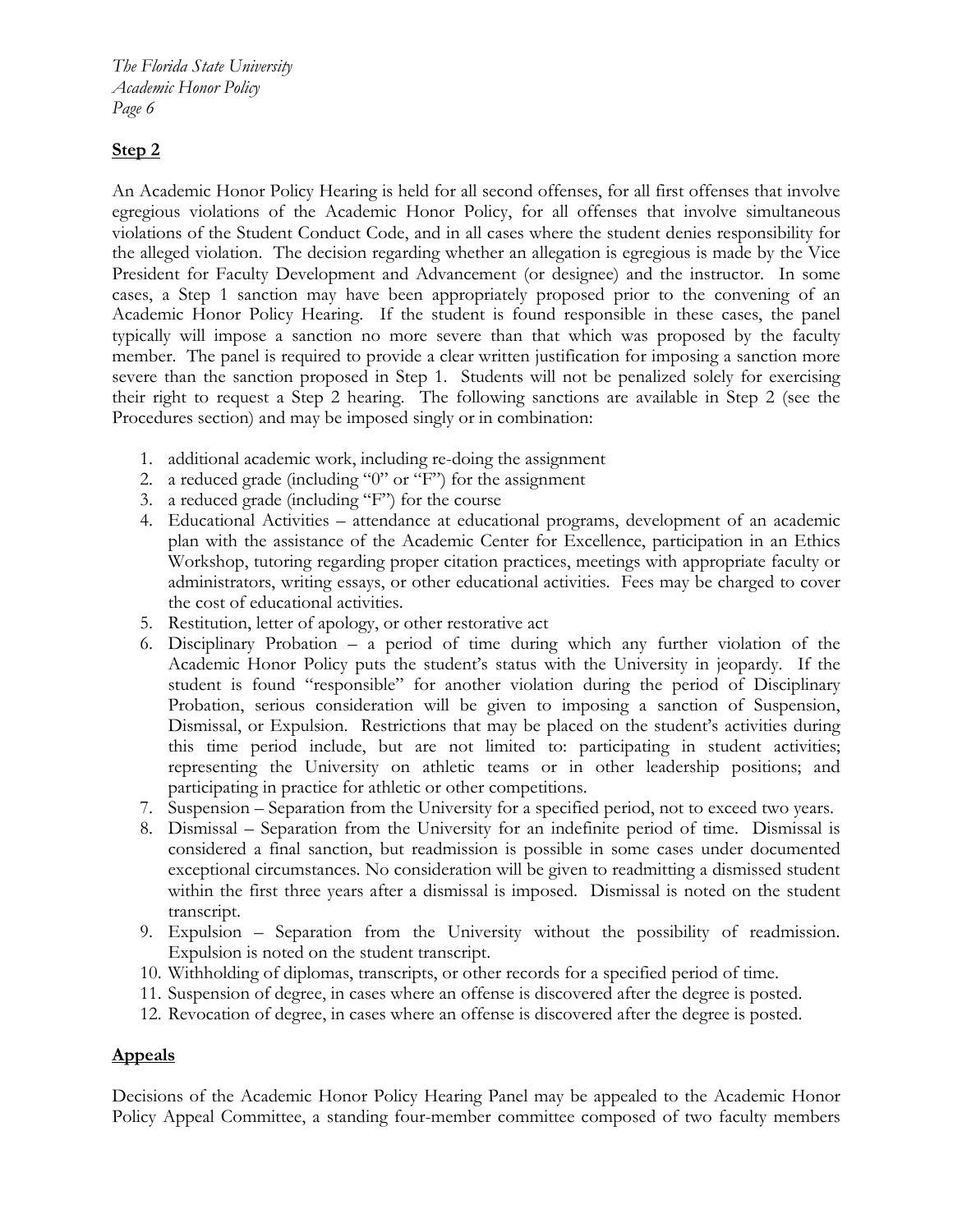*The Florida State University Academic Honor Policy Page 6*

# **Step 2**

An Academic Honor Policy Hearing is held for all second offenses, for all first offenses that involve egregious violations of the Academic Honor Policy, for all offenses that involve simultaneous violations of the Student Conduct Code, and in all cases where the student denies responsibility for the alleged violation. The decision regarding whether an allegation is egregious is made by the Vice President for Faculty Development and Advancement (or designee) and the instructor. In some cases, a Step 1 sanction may have been appropriately proposed prior to the convening of an Academic Honor Policy Hearing. If the student is found responsible in these cases, the panel typically will impose a sanction no more severe than that which was proposed by the faculty member. The panel is required to provide a clear written justification for imposing a sanction more severe than the sanction proposed in Step 1. Students will not be penalized solely for exercising their right to request a Step 2 hearing. The following sanctions are available in Step 2 (see the Procedures section) and may be imposed singly or in combination:

- 1. additional academic work, including re-doing the assignment
- 2. a reduced grade (including "0" or "F") for the assignment
- 3. a reduced grade (including "F") for the course
- 4. Educational Activities attendance at educational programs, development of an academic plan with the assistance of the Academic Center for Excellence, participation in an Ethics Workshop, tutoring regarding proper citation practices, meetings with appropriate faculty or administrators, writing essays, or other educational activities. Fees may be charged to cover the cost of educational activities.
- 5. Restitution, letter of apology, or other restorative act
- 6. Disciplinary Probation a period of time during which any further violation of the Academic Honor Policy puts the student's status with the University in jeopardy. If the student is found "responsible" for another violation during the period of Disciplinary Probation, serious consideration will be given to imposing a sanction of Suspension, Dismissal, or Expulsion. Restrictions that may be placed on the student's activities during this time period include, but are not limited to: participating in student activities; representing the University on athletic teams or in other leadership positions; and participating in practice for athletic or other competitions.
- 7. Suspension Separation from the University for a specified period, not to exceed two years.
- 8. Dismissal Separation from the University for an indefinite period of time. Dismissal is considered a final sanction, but readmission is possible in some cases under documented exceptional circumstances. No consideration will be given to readmitting a dismissed student within the first three years after a dismissal is imposed. Dismissal is noted on the student transcript.
- 9. Expulsion Separation from the University without the possibility of readmission. Expulsion is noted on the student transcript.
- 10. Withholding of diplomas, transcripts, or other records for a specified period of time.
- 11. Suspension of degree, in cases where an offense is discovered after the degree is posted.
- 12. Revocation of degree, in cases where an offense is discovered after the degree is posted.

# **Appeals**

Decisions of the Academic Honor Policy Hearing Panel may be appealed to the Academic Honor Policy Appeal Committee, a standing four-member committee composed of two faculty members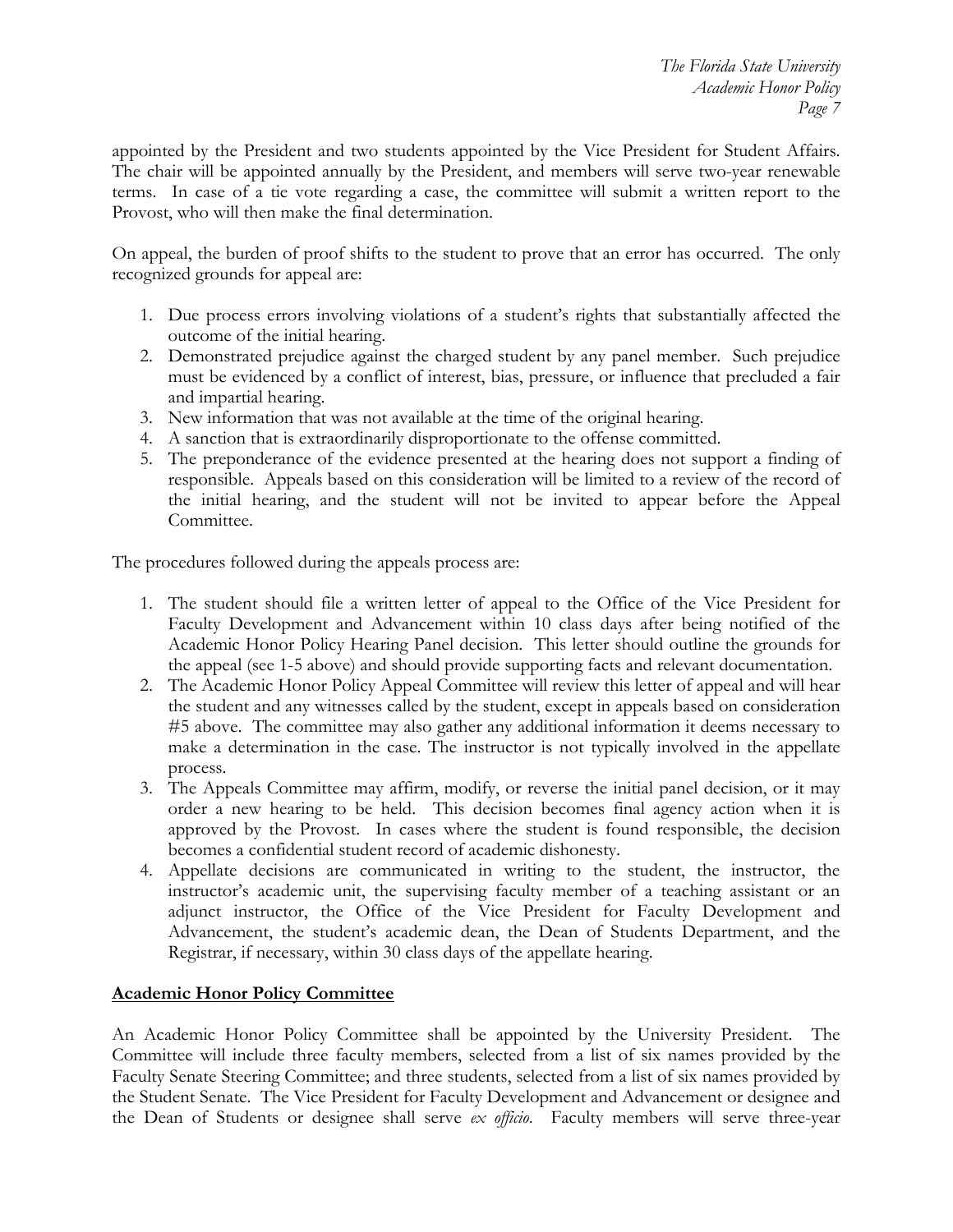appointed by the President and two students appointed by the Vice President for Student Affairs. The chair will be appointed annually by the President, and members will serve two-year renewable terms. In case of a tie vote regarding a case, the committee will submit a written report to the Provost, who will then make the final determination.

On appeal, the burden of proof shifts to the student to prove that an error has occurred. The only recognized grounds for appeal are:

- 1. Due process errors involving violations of a student's rights that substantially affected the outcome of the initial hearing.
- 2. Demonstrated prejudice against the charged student by any panel member. Such prejudice must be evidenced by a conflict of interest, bias, pressure, or influence that precluded a fair and impartial hearing.
- 3. New information that was not available at the time of the original hearing.
- 4. A sanction that is extraordinarily disproportionate to the offense committed.
- 5. The preponderance of the evidence presented at the hearing does not support a finding of responsible. Appeals based on this consideration will be limited to a review of the record of the initial hearing, and the student will not be invited to appear before the Appeal Committee.

The procedures followed during the appeals process are:

- 1. The student should file a written letter of appeal to the Office of the Vice President for Faculty Development and Advancement within 10 class days after being notified of the Academic Honor Policy Hearing Panel decision. This letter should outline the grounds for the appeal (see 1-5 above) and should provide supporting facts and relevant documentation.
- 2. The Academic Honor Policy Appeal Committee will review this letter of appeal and will hear the student and any witnesses called by the student, except in appeals based on consideration #5 above. The committee may also gather any additional information it deems necessary to make a determination in the case. The instructor is not typically involved in the appellate process.
- 3. The Appeals Committee may affirm, modify, or reverse the initial panel decision, or it may order a new hearing to be held. This decision becomes final agency action when it is approved by the Provost. In cases where the student is found responsible, the decision becomes a confidential student record of academic dishonesty.
- 4. Appellate decisions are communicated in writing to the student, the instructor, the instructor's academic unit, the supervising faculty member of a teaching assistant or an adjunct instructor, the Office of the Vice President for Faculty Development and Advancement, the student's academic dean, the Dean of Students Department, and the Registrar, if necessary, within 30 class days of the appellate hearing.

### **Academic Honor Policy Committee**

An Academic Honor Policy Committee shall be appointed by the University President. The Committee will include three faculty members, selected from a list of six names provided by the Faculty Senate Steering Committee; and three students, selected from a list of six names provided by the Student Senate. The Vice President for Faculty Development and Advancement or designee and the Dean of Students or designee shall serve *ex officio*. Faculty members will serve three-year